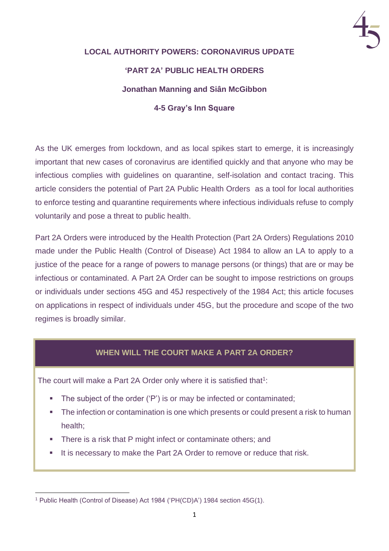

# **LOCAL AUTHORITY POWERS: CORONAVIRUS UPDATE 'PART 2A' PUBLIC HEALTH ORDERS Jonathan Manning and Siân McGibbon 4-5 Gray's Inn Square**

As the UK emerges from lockdown, and as local spikes start to emerge, it is increasingly important that new cases of coronavirus are identified quickly and that anyone who may be infectious complies with guidelines on quarantine, self-isolation and contact tracing. This article considers the potential of Part 2A Public Health Orders as a tool for local authorities to enforce testing and quarantine requirements where infectious individuals refuse to comply voluntarily and pose a threat to public health.

Part 2A Orders were introduced by the Health Protection (Part 2A Orders) Regulations 2010 made under the Public Health (Control of Disease) Act 1984 to allow an LA to apply to a justice of the peace for a range of powers to manage persons (or things) that are or may be infectious or contaminated. A Part 2A Order can be sought to impose restrictions on groups or individuals under sections 45G and 45J respectively of the 1984 Act; this article focuses on applications in respect of individuals under 45G, but the procedure and scope of the two regimes is broadly similar.

## **WHEN WILL THE COURT MAKE A PART 2A ORDER?**

The court will make a Part 2A Order only where it is satisfied that<sup>1</sup>:

- The subject of the order ('P') is or may be infected or contaminated;
- **EXECT** The infection or contamination is one which presents or could present a risk to human health;
- **.** There is a risk that P might infect or contaminate others; and
- It is necessary to make the Part 2A Order to remove or reduce that risk.

<sup>1</sup> Public Health (Control of Disease) Act 1984 ('PH(CD)A') 1984 section 45G(1).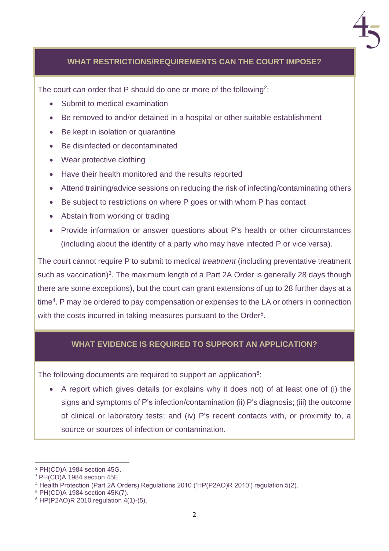

### **WHAT RESTRICTIONS/REQUIREMENTS CAN THE COURT IMPOSE?**

The court can order that P should do one or more of the following<sup>2</sup>:

- Submit to medical examination
- Be removed to and/or detained in a hospital or other suitable establishment
- Be kept in isolation or quarantine
- Be disinfected or decontaminated
- Wear protective clothing
- Have their health monitored and the results reported
- Attend training/advice sessions on reducing the risk of infecting/contaminating others
- Be subject to restrictions on where P goes or with whom P has contact
- Abstain from working or trading
- Provide information or answer questions about P's health or other circumstances (including about the identity of a party who may have infected P or vice versa).

The court cannot require P to submit to medical *treatment* (including preventative treatment such as vaccination)<sup>3</sup>. The maximum length of a Part 2A Order is generally 28 days though there are some exceptions), but the court can grant extensions of up to 28 further days at a time<sup>4</sup>. P may be ordered to pay compensation or expenses to the LA or others in connection with the costs incurred in taking measures pursuant to the Order<sup>5</sup>.

#### **WHAT EVIDENCE IS REQUIRED TO SUPPORT AN APPLICATION?**

The following documents are required to support an application<sup>6</sup>:

• A report which gives details (or explains why it does not) of at least one of (i) the signs and symptoms of P's infection/contamination (ii) P's diagnosis; (iii) the outcome of clinical or laboratory tests; and (iv) P's recent contacts with, or proximity to, a source or sources of infection or contamination.

<sup>2</sup> PH(CD)A 1984 section 45G.

<sup>3</sup> PH(CD)A 1984 section 45E.

<sup>4</sup> Health Protection (Part 2A Orders) Regulations 2010 ('HP(P2AO)R 2010') regulation 5(2).

<sup>5</sup> PH(CD)A 1984 section 45K(7).

<sup>6</sup> HP(P2AO)R 2010 regulation 4(1)-(5).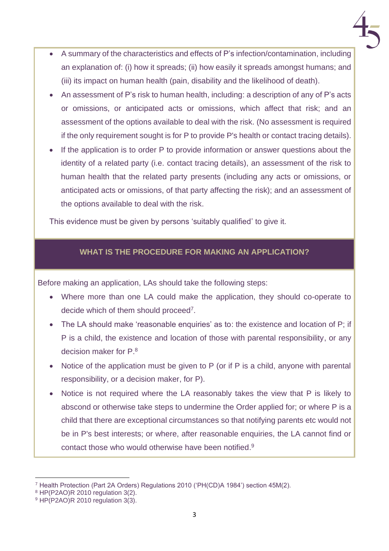

- A summary of the characteristics and effects of P's infection/contamination, including an explanation of: (i) how it spreads; (ii) how easily it spreads amongst humans; and (iii) its impact on human health (pain, disability and the likelihood of death).
- An assessment of P's risk to human health, including: a description of any of P's acts or omissions, or anticipated acts or omissions, which affect that risk; and an assessment of the options available to deal with the risk. (No assessment is required if the only requirement sought is for P to provide P's health or contact tracing details).
- If the application is to order P to provide information or answer questions about the identity of a related party (i.e. contact tracing details), an assessment of the risk to human health that the related party presents (including any acts or omissions, or anticipated acts or omissions, of that party affecting the risk); and an assessment of the options available to deal with the risk.

This evidence must be given by persons 'suitably qualified' to give it.

# **WHAT IS THE PROCEDURE FOR MAKING AN APPLICATION?**

Before making an application, LAs should take the following steps:

- Where more than one LA could make the application, they should co-operate to decide which of them should proceed<sup>7</sup>.
- The LA should make 'reasonable enquiries' as to: the existence and location of P; if P is a child, the existence and location of those with parental responsibility, or any decision maker for P. 8
- Notice of the application must be given to P (or if P is a child, anyone with parental responsibility, or a decision maker, for P).
- Notice is not required where the LA reasonably takes the view that P is likely to abscond or otherwise take steps to undermine the Order applied for; or where P is a child that there are exceptional circumstances so that notifying parents etc would not be in P's best interests; or where, after reasonable enquiries, the LA cannot find or contact those who would otherwise have been notified.<sup>9</sup>

<sup>7</sup> Health Protection (Part 2A Orders) Regulations 2010 ('PH(CD)A 1984') section 45M(2).

<sup>8</sup> HP(P2AO)R 2010 regulation 3(2).

<sup>9</sup> HP(P2AO)R 2010 regulation 3(3).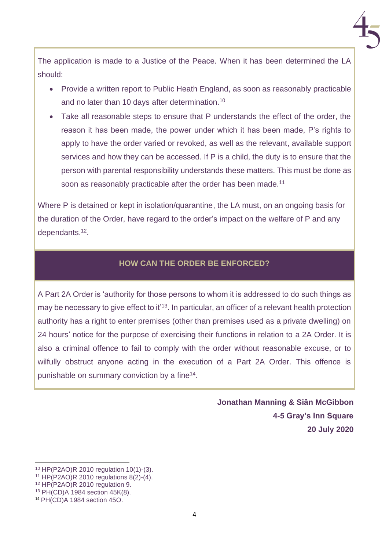

The application is made to a Justice of the Peace. When it has been determined the LA should:

- Provide a written report to Public Heath England, as soon as reasonably practicable and no later than 10 days after determination. 10
- Take all reasonable steps to ensure that P understands the effect of the order, the reason it has been made, the power under which it has been made, P's rights to apply to have the order varied or revoked, as well as the relevant, available support services and how they can be accessed. If P is a child, the duty is to ensure that the person with parental responsibility understands these matters. This must be done as soon as reasonably practicable after the order has been made.<sup>11</sup>

Where P is detained or kept in isolation/quarantine, the LA must, on an ongoing basis for the duration of the Order, have regard to the order's impact on the welfare of P and any dependants.<sup>12</sup> .

#### **HOW CAN THE ORDER BE ENFORCED?**

A Part 2A Order is 'authority for those persons to whom it is addressed to do such things as may be necessary to give effect to it<sup>13</sup>. In particular, an officer of a relevant health protection authority has a right to enter premises (other than premises used as a private dwelling) on 24 hours' notice for the purpose of exercising their functions in relation to a 2A Order. It is also a criminal offence to fail to comply with the order without reasonable excuse, or to wilfully obstruct anyone acting in the execution of a Part 2A Order. This offence is punishable on summary conviction by a fine<sup>14</sup>.

> **Jonathan Manning & Siân McGibbon 4-5 Gray's Inn Square 20 July 2020**

<sup>10</sup> HP(P2AO)R 2010 regulation 10(1)-(3).

<sup>11</sup> HP(P2AO)R 2010 regulations 8(2)-(4).

<sup>12</sup> HP(P2AO)R 2010 regulation 9.

<sup>13</sup> PH(CD)A 1984 section 45K(8).

<sup>14</sup> PH(CD)A 1984 section 45O.